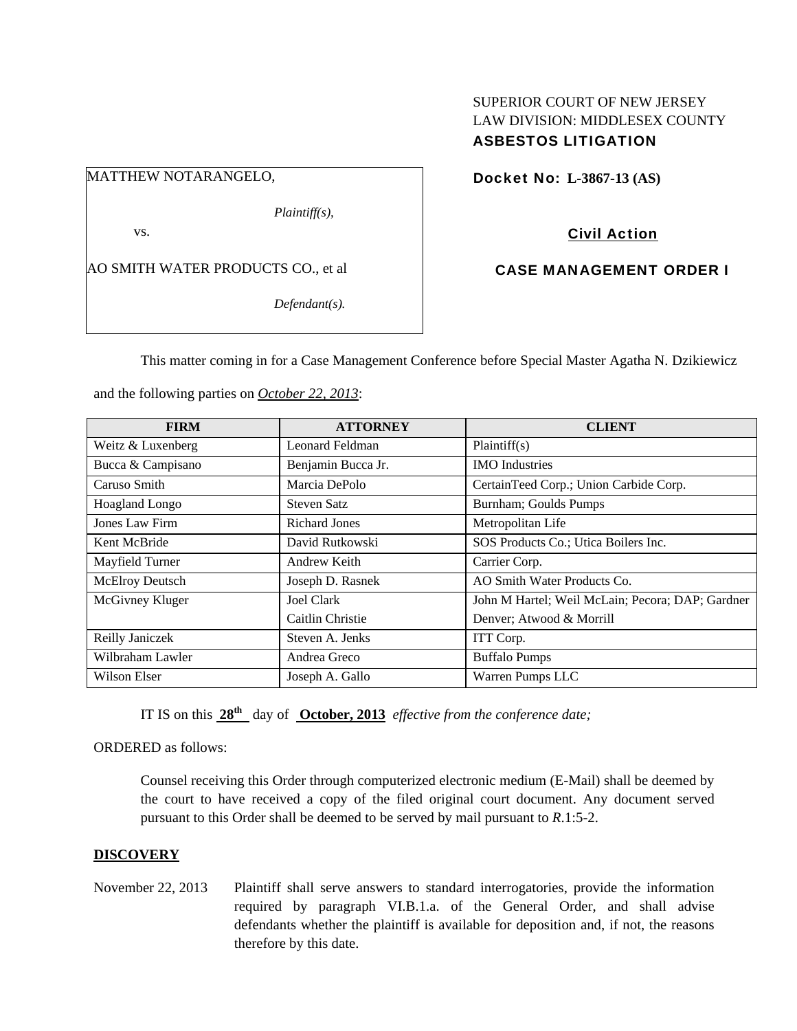## SUPERIOR COURT OF NEW JERSEY LAW DIVISION: MIDDLESEX COUNTY ASBESTOS LITIGATION

MATTHEW NOTARANGELO,

*Plaintiff(s),* 

vs.

AO SMITH WATER PRODUCTS CO., et al

*Defendant(s).* 

Docket No: **L-3867-13 (AS)** 

Civil Action

CASE MANAGEMENT ORDER I

This matter coming in for a Case Management Conference before Special Master Agatha N. Dzikiewicz

and the following parties on *October 22, 2013*:

| <b>FIRM</b>       | <b>ATTORNEY</b>    | <b>CLIENT</b>                                    |
|-------------------|--------------------|--------------------------------------------------|
| Weitz & Luxenberg | Leonard Feldman    | Plaintiff(s)                                     |
| Bucca & Campisano | Benjamin Bucca Jr. | <b>IMO</b> Industries                            |
| Caruso Smith      | Marcia DePolo      | CertainTeed Corp.; Union Carbide Corp.           |
| Hoagland Longo    | <b>Steven Satz</b> | Burnham; Goulds Pumps                            |
| Jones Law Firm    | Richard Jones      | Metropolitan Life                                |
| Kent McBride      | David Rutkowski    | SOS Products Co.; Utica Boilers Inc.             |
| Mayfield Turner   | Andrew Keith       | Carrier Corp.                                    |
| McElroy Deutsch   | Joseph D. Rasnek   | AO Smith Water Products Co.                      |
| McGivney Kluger   | Joel Clark         | John M Hartel; Weil McLain; Pecora; DAP; Gardner |
|                   | Caitlin Christie   | Denver; Atwood & Morrill                         |
| Reilly Janiczek   | Steven A. Jenks    | ITT Corp.                                        |
| Wilbraham Lawler  | Andrea Greco       | <b>Buffalo Pumps</b>                             |
| Wilson Elser      | Joseph A. Gallo    | Warren Pumps LLC                                 |

IT IS on this **28th** day of **October, 2013** *effective from the conference date;*

ORDERED as follows:

Counsel receiving this Order through computerized electronic medium (E-Mail) shall be deemed by the court to have received a copy of the filed original court document. Any document served pursuant to this Order shall be deemed to be served by mail pursuant to *R*.1:5-2.

## **DISCOVERY**

November 22, 2013 Plaintiff shall serve answers to standard interrogatories, provide the information required by paragraph VI.B.1.a. of the General Order, and shall advise defendants whether the plaintiff is available for deposition and, if not, the reasons therefore by this date.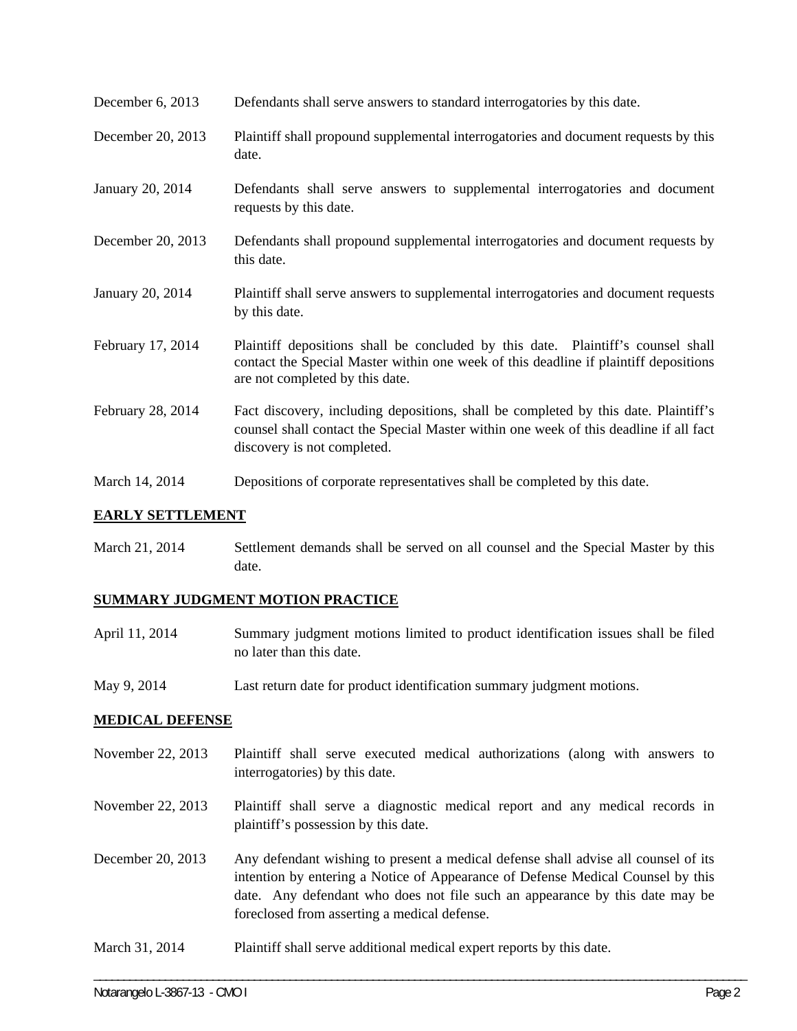- December 6, 2013 Defendants shall serve answers to standard interrogatories by this date.
- December 20, 2013 Plaintiff shall propound supplemental interrogatories and document requests by this date.
- January 20, 2014 Defendants shall serve answers to supplemental interrogatories and document requests by this date.
- December 20, 2013 Defendants shall propound supplemental interrogatories and document requests by this date.
- January 20, 2014 Plaintiff shall serve answers to supplemental interrogatories and document requests by this date.
- February 17, 2014 Plaintiff depositions shall be concluded by this date. Plaintiff's counsel shall contact the Special Master within one week of this deadline if plaintiff depositions are not completed by this date.
- February 28, 2014 Fact discovery, including depositions, shall be completed by this date. Plaintiff's counsel shall contact the Special Master within one week of this deadline if all fact discovery is not completed.
- March 14, 2014 Depositions of corporate representatives shall be completed by this date.

## **EARLY SETTLEMENT**

March 21, 2014 Settlement demands shall be served on all counsel and the Special Master by this date.

## **SUMMARY JUDGMENT MOTION PRACTICE**

- April 11, 2014 Summary judgment motions limited to product identification issues shall be filed no later than this date.
- May 9, 2014 Last return date for product identification summary judgment motions.

#### **MEDICAL DEFENSE**

- November 22, 2013 Plaintiff shall serve executed medical authorizations (along with answers to interrogatories) by this date.
- November 22, 2013 Plaintiff shall serve a diagnostic medical report and any medical records in plaintiff's possession by this date.
- December 20, 2013 Any defendant wishing to present a medical defense shall advise all counsel of its intention by entering a Notice of Appearance of Defense Medical Counsel by this date. Any defendant who does not file such an appearance by this date may be foreclosed from asserting a medical defense.

\_\_\_\_\_\_\_\_\_\_\_\_\_\_\_\_\_\_\_\_\_\_\_\_\_\_\_\_\_\_\_\_\_\_\_\_\_\_\_\_\_\_\_\_\_\_\_\_\_\_\_\_\_\_\_\_\_\_\_\_\_\_\_\_\_\_\_\_\_\_\_\_\_\_\_\_\_\_\_\_\_\_\_\_\_\_\_\_\_\_\_\_\_\_\_\_\_\_\_\_\_\_\_\_\_\_\_\_\_\_

March 31, 2014 Plaint iff shall serve additional medical expert reports by this date.